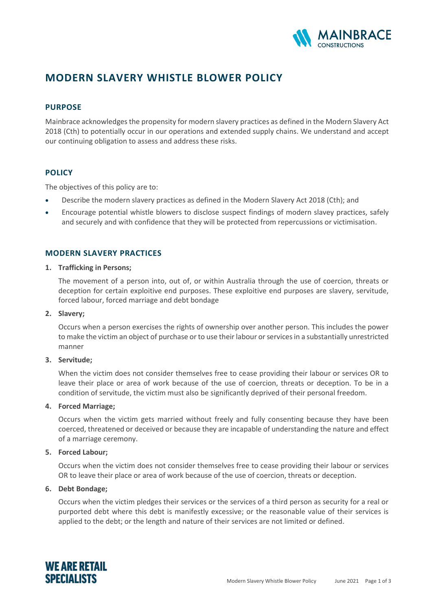

# **MODERN SLAVERY WHISTLE BLOWER POLICY**

# **PURPOSE**

Mainbrace acknowledges the propensity for modern slavery practices as defined in the Modern Slavery Act 2018 (Cth) to potentially occur in our operations and extended supply chains. We understand and accept our continuing obligation to assess and address these risks.

# **POLICY**

The objectives of this policy are to:

- Describe the modern slavery practices as defined in the Modern Slavery Act 2018 (Cth); and
- Encourage potential whistle blowers to disclose suspect findings of modern slavey practices, safely and securely and with confidence that they will be protected from repercussions or victimisation.

# **MODERN SLAVERY PRACTICES**

#### **1. Trafficking in Persons;**

The movement of a person into, out of, or within Australia through the use of coercion, threats or deception for certain exploitive end purposes. These exploitive end purposes are slavery, servitude, forced labour, forced marriage and debt bondage

# **2. Slavery;**

Occurs when a person exercises the rights of ownership over another person. This includes the power to make the victim an object of purchase or to use their labour or services in a substantially unrestricted manner

# **3. Servitude;**

When the victim does not consider themselves free to cease providing their labour or services OR to leave their place or area of work because of the use of coercion, threats or deception. To be in a condition of servitude, the victim must also be significantly deprived of their personal freedom.

# **4. Forced Marriage;**

Occurs when the victim gets married without freely and fully consenting because they have been coerced, threatened or deceived or because they are incapable of understanding the nature and effect of a marriage ceremony.

# **5. Forced Labour;**

Occurs when the victim does not consider themselves free to cease providing their labour or services OR to leave their place or area of work because of the use of coercion, threats or deception.

# **6. Debt Bondage;**

Occurs when the victim pledges their services or the services of a third person as security for a real or purported debt where this debt is manifestly excessive; or the reasonable value of their services is applied to the debt; or the length and nature of their services are not limited or defined.

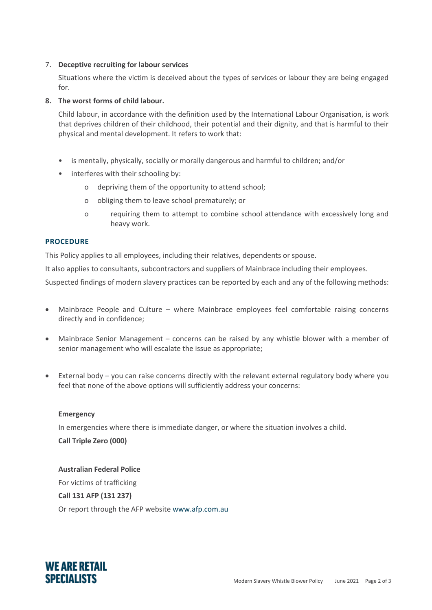# 7. **Deceptive recruiting for labour services**

Situations where the victim is deceived about the types of services or labour they are being engaged for.

# **8. The worst forms of child labour.**

Child labour, in accordance with the definition used by the International Labour Organisation, is work that deprives children of their childhood, their potential and their dignity, and that is harmful to their physical and mental development. It refers to work that:

- is mentally, physically, socially or morally dangerous and harmful to children; and/or
- interferes with their schooling by:
	- o depriving them of the opportunity to attend school;
	- o obliging them to leave school prematurely; or
	- o requiring them to attempt to combine school attendance with excessively long and heavy work.

# **PROCEDURE**

This Policy applies to all employees, including their relatives, dependents or spouse.

It also applies to consultants, subcontractors and suppliers of Mainbrace including their employees.

Suspected findings of modern slavery practices can be reported by each and any of the following methods:

- Mainbrace People and Culture where Mainbrace employees feel comfortable raising concerns directly and in confidence;
- Mainbrace Senior Management concerns can be raised by any whistle blower with a member of senior management who will escalate the issue as appropriate;
- External body you can raise concerns directly with the relevant external regulatory body where you feel that none of the above options will sufficiently address your concerns:

# **Emergency**

In emergencies where there is immediate danger, or where the situation involves a child.

**Call Triple Zero (000)**

**Australian Federal Police** For victims of trafficking **Call 131 AFP (131 237)** Or report through the AFP website [www.afp.com.au](http://www.afp.com.au/)